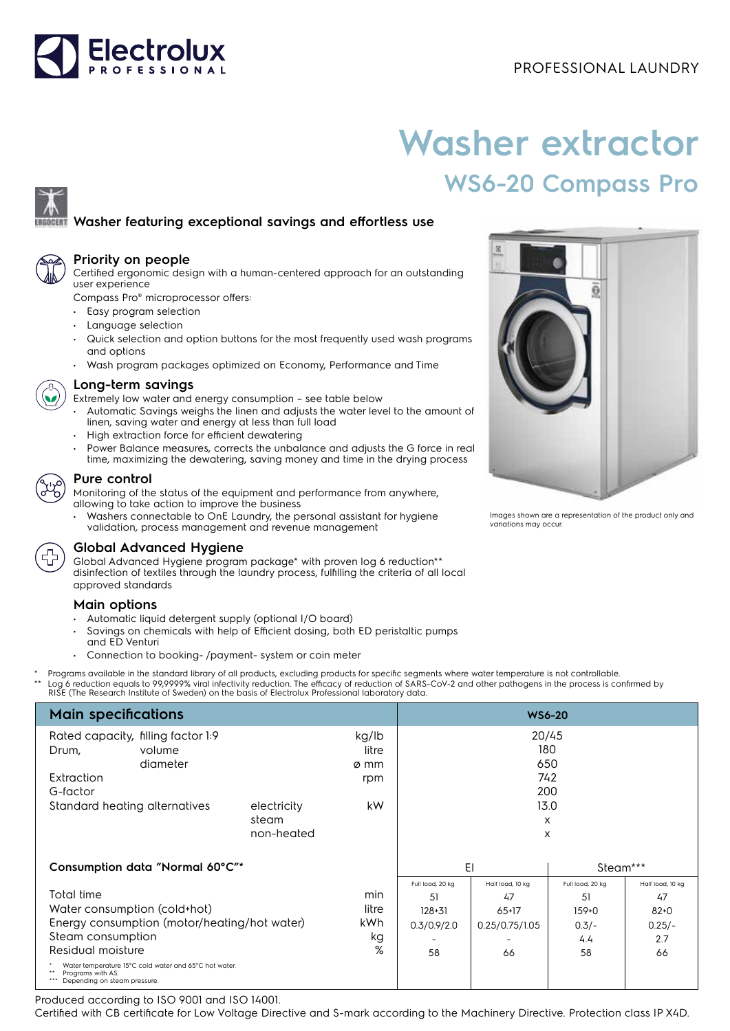

# **Washer extractor WS6-20 Compass Pro**

## **Washer featuring exceptional savings and effortless use**



#### **Priority on people**

Certified ergonomic design with a human-centered approach for an outstanding user experience

Compass Pro® microprocessor offers:

- Easy program selection
- Language selection
- Quick selection and option buttons for the most frequently used wash programs and options
- Wash program packages optimized on Economy, Performance and Time



#### **Long-term savings**

- Extremely low water and energy consumption see table below
- Automatic Savings weighs the linen and adjusts the water level to the amount of linen, saving water and energy at less than full load
- High extraction force for efficient dewatering
- Power Balance measures, corrects the unbalance and adjusts the G force in real time, maximizing the dewatering, saving money and time in the drying process

#### **Pure control**

Monitoring of the status of the equipment and performance from anywhere, allowing to take action to improve the business

• Washers connectable to OnE Laundry, the personal assistant for hygiene validation, process management and revenue management



### **Global Advanced Hygiene**

Global Advanced Hygiene program package\* with proven log 6 reduction\*\* disinfection of textiles through the laundry process, fulfilling the criteria of all local approved standards

#### **Main options**

- Automatic liquid detergent supply (optional I/O board)
- Savings on chemicals with help of Efficient dosing, both ED peristaltic pumps and ED Venturi
- Connection to booking- /payment- system or coin meter
- Programs available in the standard library of all products, excluding products for specific segments where water temperature is not controllable.
- \*\* Log 6 reduction equals to 99,9999% viral infectivity reduction. The efficacy of reduction of SARS-CoV-2 and other pathogens in the process is confirmed by<br>RISE (The Research Institute of Sweden) on the basis of Electrol

| <b>Main specifications</b>                                                                                                                                                                                                                         | <b>WS6-20</b>                      |                                |                                                           |                                                           |                                                           |                                                             |
|----------------------------------------------------------------------------------------------------------------------------------------------------------------------------------------------------------------------------------------------------|------------------------------------|--------------------------------|-----------------------------------------------------------|-----------------------------------------------------------|-----------------------------------------------------------|-------------------------------------------------------------|
| Rated capacity, filling factor 1:9<br>volume<br>Drum,<br>diameter<br>Extraction                                                                                                                                                                    |                                    | kg/lb<br>litre<br>ø mm<br>rpm  |                                                           | 20/45<br>180<br>650<br>742                                |                                                           |                                                             |
| G-factor<br>Standard heating alternatives                                                                                                                                                                                                          | electricity<br>steam<br>non-heated | kW.                            |                                                           | 200<br>13.0<br>X<br>X                                     |                                                           |                                                             |
| Consumption data "Normal 60°C"*                                                                                                                                                                                                                    |                                    |                                | EI<br>Steam***                                            |                                                           |                                                           |                                                             |
| Total time<br>Water consumption (cold+hot)<br>Energy consumption (motor/heating/hot water)<br>Steam consumption<br>Residual moisture<br>Water temperature 15°C cold water and 65°C hot water.<br>Programs with AS.<br>Depending on steam pressure. |                                    | min<br>litre<br>kWh<br>kg<br>% | Full load, 20 kg<br>51<br>$128 + 31$<br>0.3/0.9/2.0<br>58 | Half load, 10 kg<br>47<br>$65+17$<br>0.25/0.75/1.05<br>66 | Full load, 20 kg<br>51<br>$159+0$<br>$0.3/-$<br>4.4<br>58 | Half load, 10 kg<br>47<br>$82 + 0$<br>$0.25/-$<br>2.7<br>66 |

Produced according to ISO 9001 and ISO 14001.

Certified with CB certificate for Low Voltage Directive and S-mark according to the Machinery Directive. Protection class IP X4D.



Images shown are a representation of the product only and variations may occur.